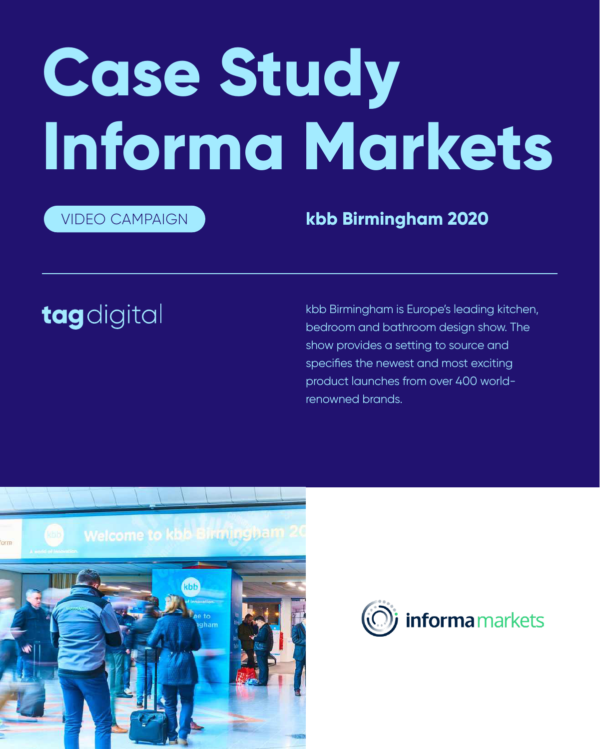# **Case Study Informa Markets**

kbb Birmingham is Europe's leading kitchen, bedroom and bathroom design show. The show provides a setting to source and specifies the newest and most exciting product launches from over 400 worldrenowned brands.





VIDEO CAMPAIGN **kbb Birmingham 2020**

## tagdigital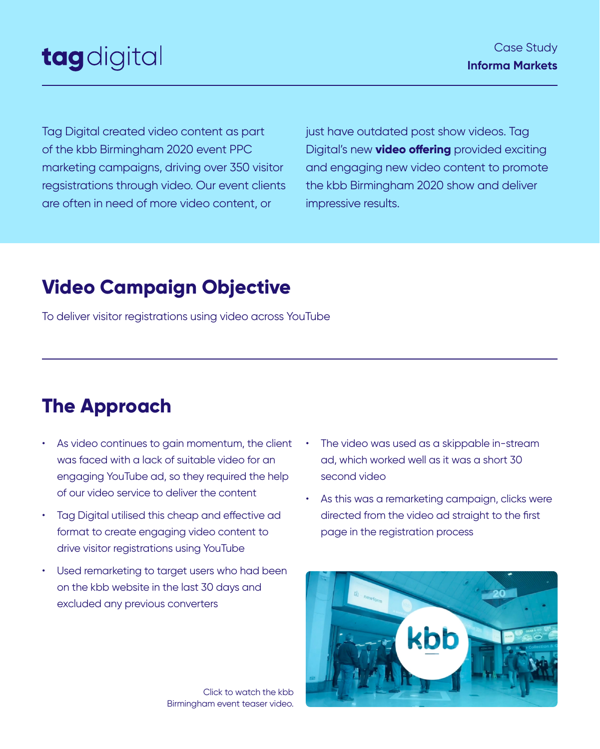Tag Digital created video content as part of the kbb Birmingham 2020 event PPC marketing campaigns, driving over 350 visitor regsistrations through video. Our event clients are often in need of more video content, or

> Click to watch the kbb Birmingham event teaser video.



just have outdated post show videos. Tag Digital's new **[video offering](https://drive.google.com/file/d/1T7pkl7qPe2qLoUUBqHN5Ec06JfCuQbE3/view)** provided exciting and engaging new video content to promote the kbb Birmingham 2020 show and deliver impressive results.

#### Case Study **Informa Markets**

## tagdigital

To deliver visitor registrations using video across YouTube

drive visitor registrations using YouTube

- As video continues to gain momentum, the client was faced with a lack of suitable video for an engaging YouTube ad, so they required the help of our video service to deliver the content
- Tag Digital utilised this cheap and effective ad format to create engaging video content to
- The video was used as a skippable in-stream ad, which worked well as it was a short 30 second video
- As this was a remarketing campaign, clicks were directed from the video ad straight to the first page in the registration process

• Used remarketing to target users who had been on the kbb website in the last 30 days and excluded any previous converters

## **Video Campaign Objective**

## **The Approach**